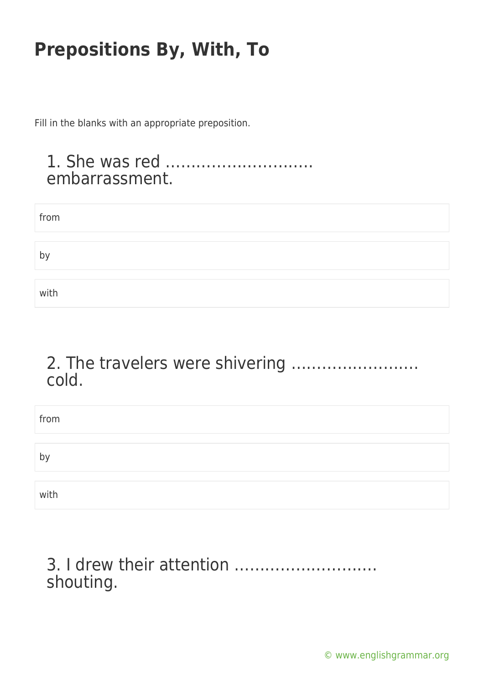Fill in the blanks with an appropriate preposition.

### 1. She was red ……………………….. embarrassment.

| from |  |  |
|------|--|--|
|      |  |  |
| b١   |  |  |
|      |  |  |
| with |  |  |

## 2. The travelers were shivering ……………………. cold.

| from |  |  |
|------|--|--|
|      |  |  |
| by   |  |  |
|      |  |  |
| with |  |  |

## 3. I drew their attention ………………………. shouting.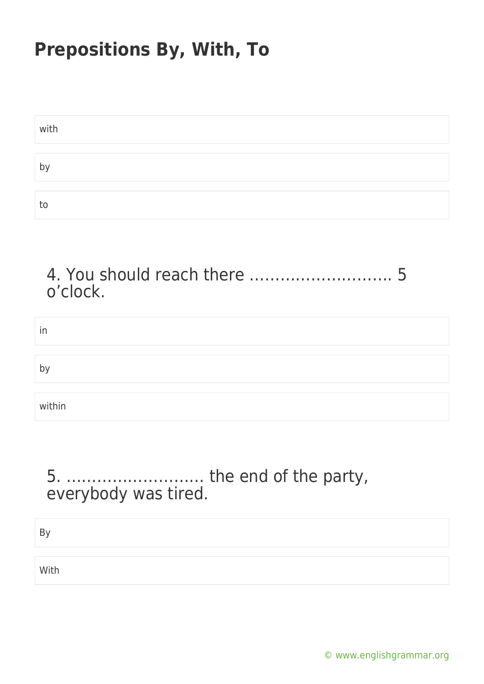| with |  |
|------|--|
|      |  |
| b١   |  |
|      |  |
| to   |  |

4. You should reach there ………………………. 5 o'clock.

| in             |  |
|----------------|--|
|                |  |
| b <sub>y</sub> |  |
|                |  |
| within         |  |

## 5. ……………………… the end of the party, everybody was tired.

By

With

[© www.englishgrammar.org](https://www.englishgrammar.org/)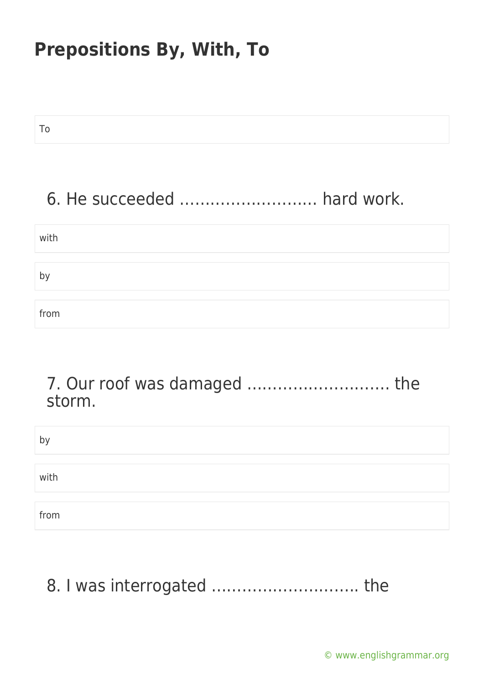To

# 6. He succeeded ……………………… hard work.

| with         |  |
|--------------|--|
|              |  |
| $b^{\prime}$ |  |
|              |  |
| from         |  |

## 7. Our roof was damaged ………………………. the storm.

| by   |  |  |
|------|--|--|
|      |  |  |
| with |  |  |
|      |  |  |
| from |  |  |

8. I was interrogated .................................. the

[© www.englishgrammar.org](https://www.englishgrammar.org/)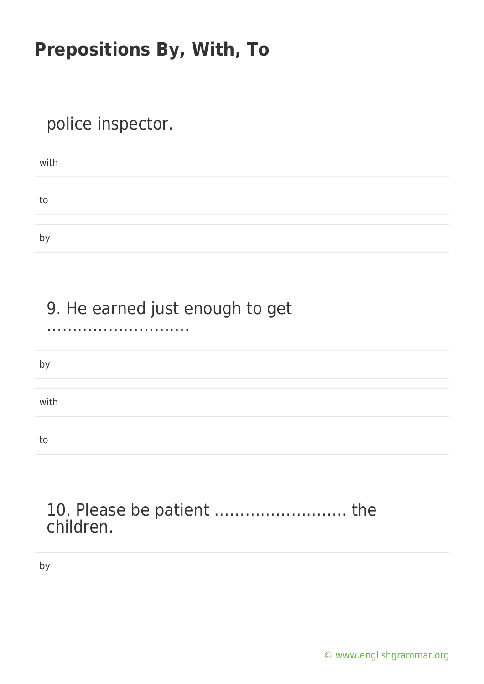# police inspector.

| with    |  |  |  |
|---------|--|--|--|
|         |  |  |  |
| to      |  |  |  |
|         |  |  |  |
| h١<br>ັ |  |  |  |

# 9. He earned just enough to get

#### ……………………….

| h'   |  |
|------|--|
| with |  |
| to   |  |

## 10. Please be patient …………………….. the children.

by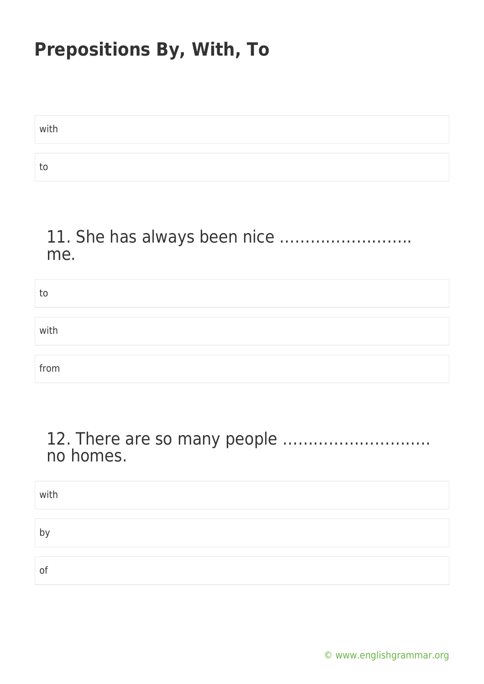| with |  |
|------|--|
|      |  |
| т٢   |  |

## 11. She has always been nice …………………….. me.

| to   |  |
|------|--|
|      |  |
| with |  |
|      |  |
| from |  |

## 12. There are so many people ……………………….. no homes.

| with |  |
|------|--|
|      |  |
| by   |  |
|      |  |
| 0f   |  |